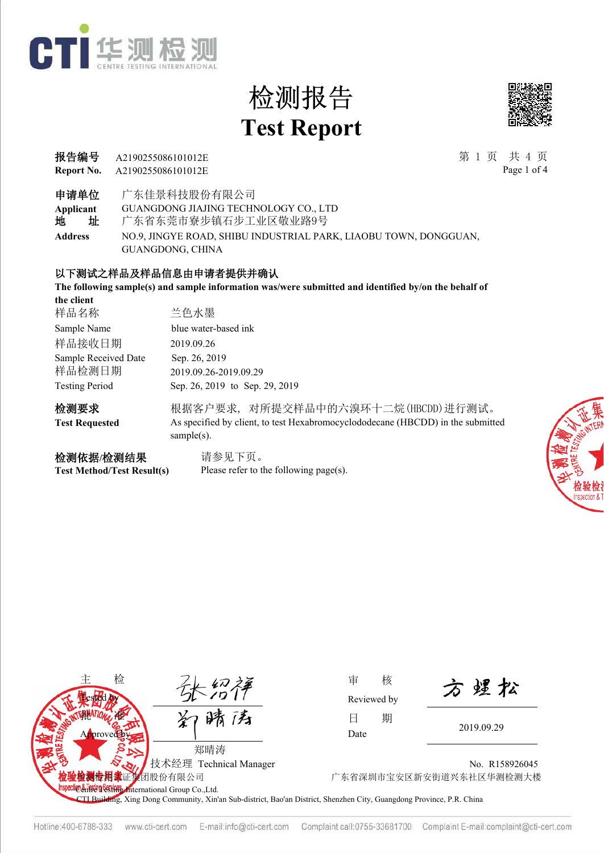



**Report No.** 报告编号 第 1 页 共 4 页 A2190255086101012E A2190255086101012E

Page 1 of 4

申请单位 广东佳景科技股份有限公司

**Applicant** GUANGDONG JIAJING TECHNOLOGY CO., LTD

地 址 广东省东莞市寮步镇石步工业区敬业路9号

**Address** NO.9, JINGYE ROAD, SHIBU INDUSTRIAL PARK, LIAOBU TOWN, DONGGUAN, GUANGDONG, CHINA

#### 以下测试之样品及样品信息由申请者提供并确认

**The following sample(s) and sample information was/were submitted and identified by/on the behalf of** 

| the client            |                                                                                                   |
|-----------------------|---------------------------------------------------------------------------------------------------|
| 样品名称                  | 兰色水墨                                                                                              |
| Sample Name           | blue water-based ink                                                                              |
| 样品接收日期                | 2019.09.26                                                                                        |
| Sample Received Date  | Sep. 26, 2019                                                                                     |
| 样品检测日期                | 2019.09.26-2019.09.29                                                                             |
| <b>Testing Period</b> | Sep. 26, 2019 to Sep. 29, 2019                                                                    |
| 检测要求                  | 根据客户要求,对所提交样品中的六溴环十二烷(HBCDD)进行测试。                                                                 |
| <b>Test Requested</b> | As specified by client, to test Hexabromocyclododecane (HBCDD) in the submitted<br>sample $(s)$ . |
| 检测依据/检测结果             | 请参见下页。                                                                                            |



Please refer to the following page(s).





Reviewed by

方煜松

No. R158926045 团股份有限公司 广东省深圳市宝安区新安街道兴东社区华测检测大楼

CTI Building, Xing Dong Community, Xin'an Sub-district, Bao'an District, Shenzhen City, Guangdong Province, P.R. China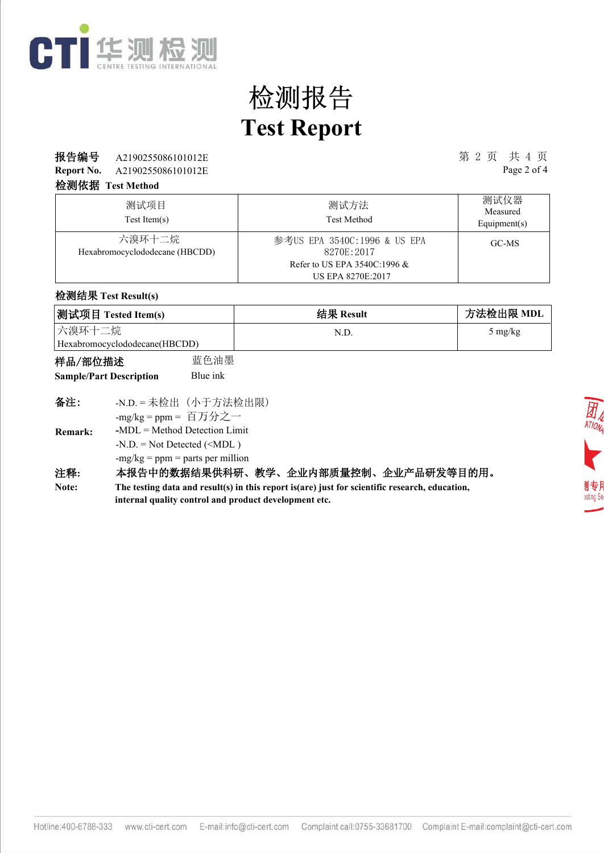

#### **报告编号** A2190255086101012E 第 2 页 共 4 页

**Report No.** A2190255086101012E Page 2 of 4

#### 检测依据 **Test Method**

| 测试项目<br>Test Item(s)                     | 测试方法<br><b>Test Method</b>                                                   | 测试仪器<br>Measured<br>Equipment( $s$ ) |
|------------------------------------------|------------------------------------------------------------------------------|--------------------------------------|
| 六溴环十二烷<br>Hexabromocyclododecane (HBCDD) | 参考US EPA 3540C:1996 & US EPA<br>8270E:2017<br>Refer to US EPA 3540C:1996 $&$ | GC-MS                                |

#### 检测结果 **Test Result(s)**

| 测试项目 Tested Item(s)           | 结果 Result | 方法检出限 MDL         |
|-------------------------------|-----------|-------------------|
| 六溴环十二烷                        | N.D       | $5 \text{ mg/kg}$ |
| Hexabromocyclododecane(HBCDD) |           |                   |

| 样品/部位描述                        | 蓝色油墨     |
|--------------------------------|----------|
| <b>Sample/Part Description</b> | Blue ink |

| 备注:            | -N.D. = 未检出 (小于方法检出限)              |
|----------------|------------------------------------|
|                | -mg/kg = ppm = 百万分之一               |
| <b>Remark:</b> | $-MDL = Method$ Detection Limit    |
|                | $-N.D. = Not detected ($           |
|                | $-mg/kg = ppm = parts per million$ |
| 注释:            | 本报告中的数据结果供科研、<br>教学                |

#### 注释**:** 本报告中的数据结果供科研、教学、企业内部质量控制、企业产品研发等目的用。

**The testing data and result(s) in this report is(are) just for scientific research, education, internal quality control and product development etc. Note:**

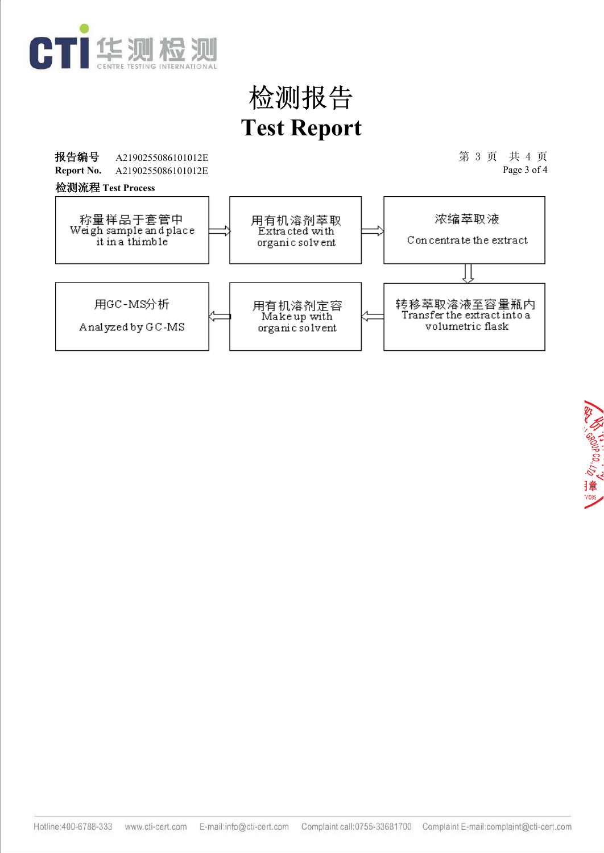

报告编号 A2190255086101012E 3 20 20 20 20 20 20 20 20 20 20 20 30 20 30 20 30 20 20 20 20 20 20 20 20 20 20 20 20 A2190255086101012E Page 3 of 4 **Report No.** A2190255086101012E 检测流程 **Test Process**称量样品于套管中<br>Weigh sample and place 浓缩萃取液 用有机溶剂萃取<br>Extracted with Concentrate the extract it in a thimble organic solvent 用GC-MS分析 转移萃取溶液至容量瓶内<br>Transferthe extractinto a 用有机溶剂定容<br>Makeup with Analyzed by GC-MS volumetric flask organic solvent

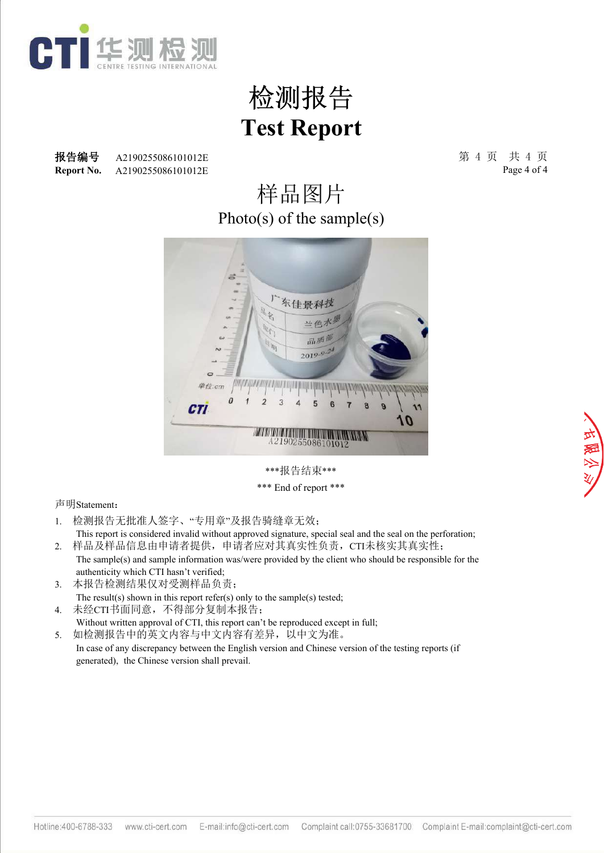

**Report No.** 报告编号 A2190255086101012E 3 20 20 20 20 20 20 20 20 20 20 20 30 31 4 页 共 4 页 A2190255086101012E A2190255086101012E

Page 4 of 4

### Photo(s) of the sample(s) 样品图片



\*\*\*报告结束\*\*\*

\*\*\* End of report \*\*\*

- 1. 检测报告无批准人签字、"专用章"及报告骑缝章无效;
- This report is considered invalid without approved signature, special seal and the seal on the perforation; 2. 样品及样品信息由申请者提供,申请者应对其真实性负责,CTI未核实其真实性;
- The sample(s) and sample information was/were provided by the client who should be responsible for the authenticity which CTI hasn't verified;
- 3. 本报告检测结果仅对受测样品负责; The result(s) shown in this report refer(s) only to the sample(s) tested;
- 4. 未经CTI书面同意,不得部分复制本报告; Without written approval of CTI, this report can't be reproduced except in full;
- 5. 如检测报告中的英文内容与中文内容有差异,以中文为准。 In case of any discrepancy between the English version and Chinese version of the testing reports (if generated), the Chinese version shall prevail.

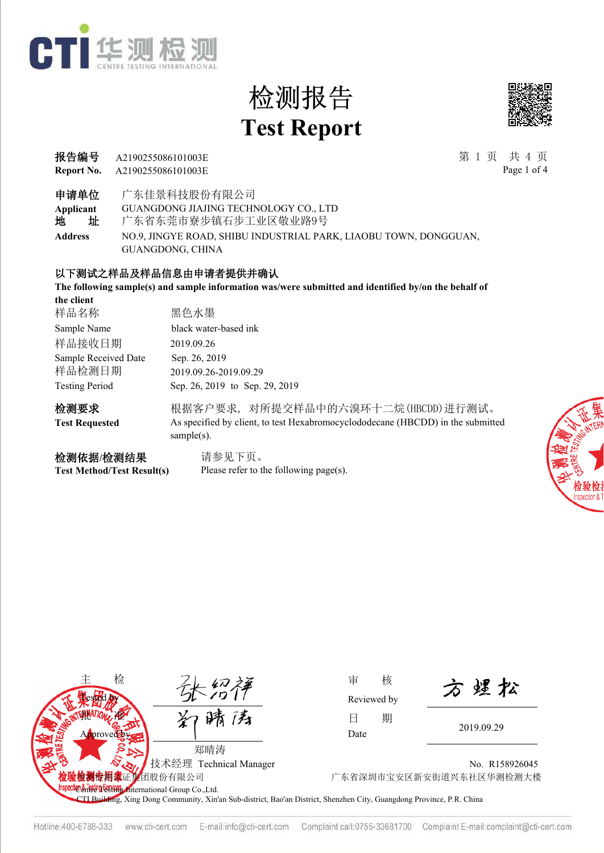



Page 1 of 4

**Report No.** 报告编号 第 1 页 共 4 页 A2190255086101003E A2190255086101003E

申请单位 广东佳景科技股份有限公司

**Applicant** GUANGDONG JIAJING TECHNOLOGY CO., LTD

地 址 广东省东莞市寮步镇石步工业区敬业路9号

**Address** NO.9, JINGYE ROAD, SHIBU INDUSTRIAL PARK, LIAOBU TOWN, DONGGUAN, GUANGDONG, CHINA

#### 以下测试之样品及样品信息由申请者提供并确认

**The following sample(s) and sample information was/were submitted and identified by/on the behalf of** 

| the client            |                                                                                                   |
|-----------------------|---------------------------------------------------------------------------------------------------|
| 样品名称                  | 黑色水墨                                                                                              |
| Sample Name           | black water-based ink                                                                             |
| 样品接收日期                | 2019.09.26                                                                                        |
| Sample Received Date  | Sep. 26, 2019                                                                                     |
| 样品检测日期                | 2019.09.26-2019.09.29                                                                             |
| <b>Testing Period</b> | Sep. 26, 2019 to Sep. 29, 2019                                                                    |
| 检测要求                  | 根据客户要求,对所提交样品中的六溴环十二烷(HBCDD)进行测试。                                                                 |
| <b>Test Requested</b> | As specified by client, to test Hexabromocyclododecane (HBCDD) in the submitted<br>sample $(s)$ . |
| 检测依据/检测结果             | 请参见下页。                                                                                            |

**Test Method/Test Result(s)**

Please refer to the following page(s).





Reviewed by

方煜松

No. R158926045 团股份有限公司 广东省深圳市宝安区新安街道兴东社区华测检测大楼

CTI Building, Xing Dong Community, Xin'an Sub-district, Bao'an District, Shenzhen City, Guangdong Province, P.R. China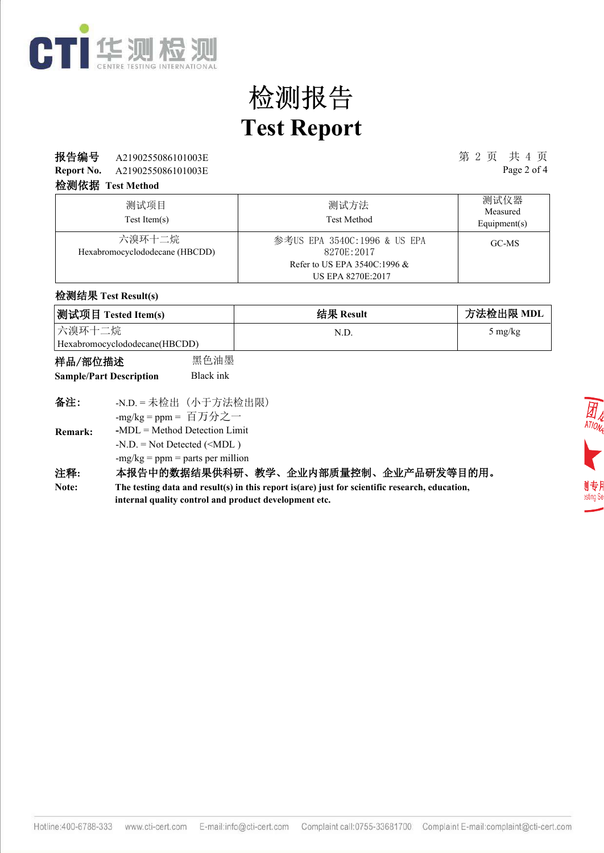

### **报告编号** A2190255086101003E 第 2 页 共 4 页

**Report No.** A2190255086101003E Page 2 of 4

#### 检测依据 **Test Method**

| 测试项目<br>$Test$ Item $(s)$                | 测试方法<br><b>Test Method</b>                                                    | 测试仪器<br>Measured<br>Equipment( $s$ ) |
|------------------------------------------|-------------------------------------------------------------------------------|--------------------------------------|
| 六溴环十二烷<br>Hexabromocyclododecane (HBCDD) | 参考US EPA 3540C:1996 & US EPA<br>8270E:2017<br>Refer to US EPA 3540C:1996 $\&$ | GC-MS                                |
|                                          | <b>US EPA 8270E:2017</b>                                                      |                                      |

#### 检测结果 **Test Result(s)**

| 测试项目 Tested Item(s)           | 结果 Result | 方法检出限 MDL |
|-------------------------------|-----------|-----------|
| 六溴环十二烷                        | N.D       | 5 mg/kg   |
| Hexabromocyclododecane(HBCDD) |           |           |

| 样品/部位描述                        | 黑色油墨      |  |
|--------------------------------|-----------|--|
| <b>Sample/Part Description</b> | Black ink |  |

| 备注:            | -N.D. = 未检出 (小于方法检出限)              |
|----------------|------------------------------------|
|                | -mg/kg = ppm = 百万分之一               |
| <b>Remark:</b> | $-MDL = Method$ Detection Limit    |
|                | $-N.D. = Not detected ($           |
|                | $-mg/kg = ppm = parts per million$ |
| 注释:            | 本报告中的数据结果供科研、教学、                   |

#### 企业内部质量控制、企业产品研发等目的用。 **The testing data and result(s) in this report is(are) just for scientific research, education, internal quality control and product development etc. Note:**

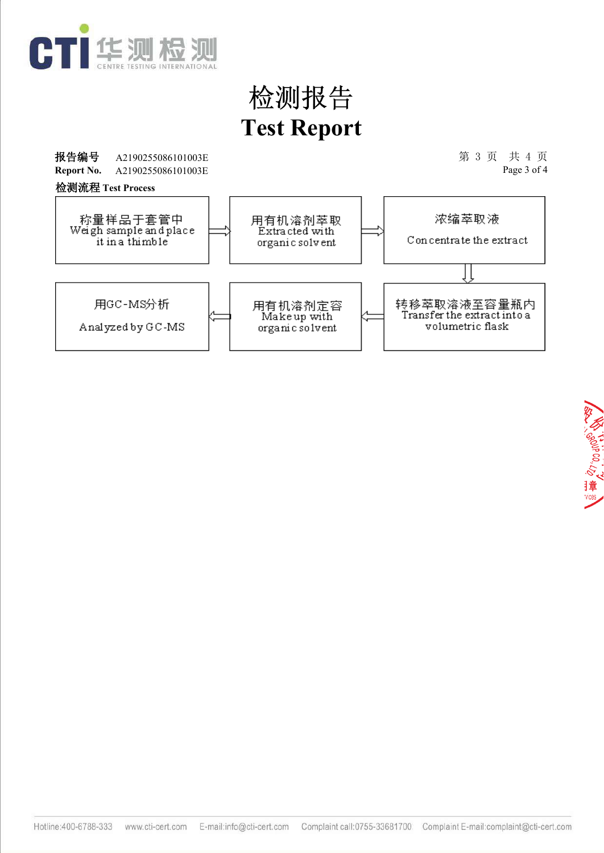

报告编号 A2190255086101003E 2010 2020 2021 2021 2022 2020 2021 2022 第 3 页 共 4 页 A2190255086101003E Page 3 of 4 **Report No.** A2190255086101003E 检测流程 **Test Process**称量样品于套管中<br>Weigh sample and place 浓缩萃取液 用有机溶剂萃取<br>Extracted with Concentrate the extract it in a thimble organic solvent 用GC-MS分析 转移萃取溶液至容量瓶内<br>Transferthe extractinto a 用有机溶剂定容<br>Makeup with Analyzed by GC-MS volumetric flask organic solvent

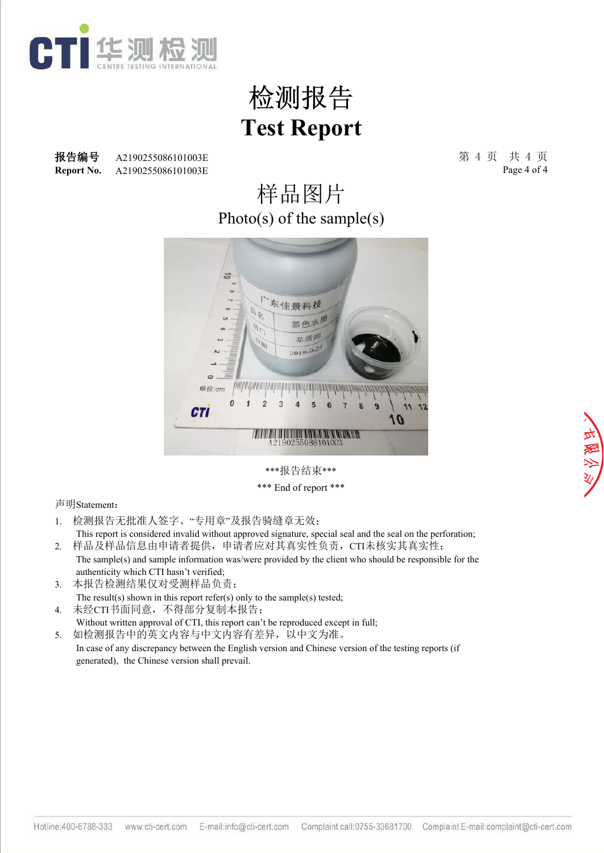

**Report No.** 报告编号 A2190255086101003E 2010 2020 2021 2021 2022 2023 第 4 页 共 4 页 A2190255086101003E A2190255086101003E

Page 4 of 4

### Photo(s) of the sample(s) 样品图片



\*\*\*报告结束\*\*\* \*\*\* End of report \*\*\*

- 1. 检测报告无批准人签字、"专用章"及报告骑缝章无效;
- This report is considered invalid without approved signature, special seal and the seal on the perforation; 2. 样品及样品信息由申请者提供,申请者应对其真实性负责,CTI未核实其真实性;
- The sample(s) and sample information was/were provided by the client who should be responsible for the authenticity which CTI hasn't verified;
- 3. 本报告检测结果仅对受测样品负责; The result(s) shown in this report refer(s) only to the sample(s) tested;
- 4. 未经CTI书面同意,不得部分复制本报告; Without written approval of CTI, this report can't be reproduced except in full;
- 5. 如检测报告中的英文内容与中文内容有差异,以中文为准。 In case of any discrepancy between the English version and Chinese version of the testing reports (if generated), the Chinese version shall prevail.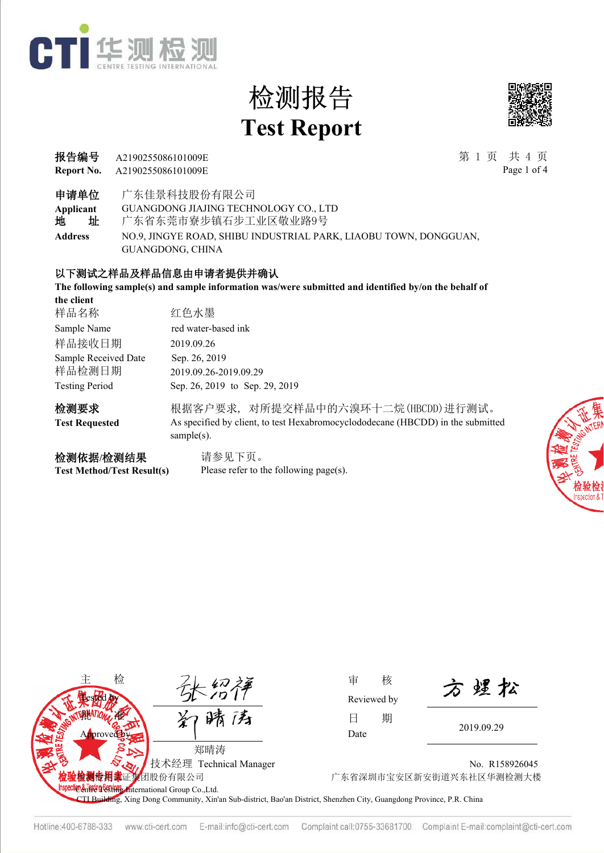



| 报告编号 A2190255086101009E              | 第1页 共4页     |
|--------------------------------------|-------------|
| <b>Report No.</b> A2190255086101009E | Page 1 of 4 |

Page 1 of 4

申请单位 广东佳景科技股份有限公司

**Applicant** GUANGDONG JIAJING TECHNOLOGY CO., LTD

地 址 广东省东莞市寮步镇石步工业区敬业路9号

**Address** NO.9, JINGYE ROAD, SHIBU INDUSTRIAL PARK, LIAOBU TOWN, DONGGUAN, GUANGDONG, CHINA

#### 以下测试之样品及样品信息由申请者提供并确认

**The following sample(s) and sample information was/were submitted and identified by/on the behalf of** 

| the client            |                                                                                                   |
|-----------------------|---------------------------------------------------------------------------------------------------|
| 样品名称                  | 红色水墨                                                                                              |
| Sample Name           | red water-based ink                                                                               |
| 样品接收日期                | 2019.09.26                                                                                        |
| Sample Received Date  | Sep. 26, 2019                                                                                     |
| 样品检测日期                | 2019.09.26-2019.09.29                                                                             |
| <b>Testing Period</b> | Sep. 26, 2019 to Sep. 29, 2019                                                                    |
| 检测要求                  | 根据客户要求,对所提交样品中的六溴环十二烷(HBCDD)进行测试。                                                                 |
| <b>Test Requested</b> | As specified by client, to test Hexabromocyclododecane (HBCDD) in the submitted<br>sample $(s)$ . |
| 检测依据/检测结果             | 请参见下页。                                                                                            |

**Test Method/Test Result(s)**

Please refer to the following page(s).





Reviewed by

方煜松

No. R158926045 团股份有限公司 广东省深圳市宝安区新安街道兴东社区华测检测大楼

CTI Building, Xing Dong Community, Xin'an Sub-district, Bao'an District, Shenzhen City, Guangdong Province, P.R. China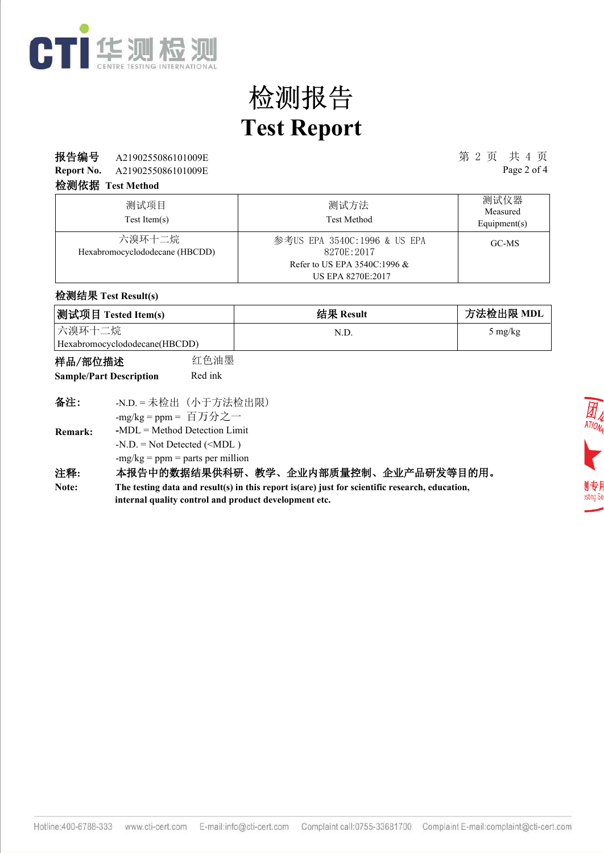

### **报告编号** A2190255086101009E 第 2 页 共 4 页

**Report No.** A2190255086101009E Page 2 of 4

#### 检测依据 **Test Method**

| 测试项目<br>$Test$ Item $(s)$                | 测试方法<br><b>Test Method</b>                                                                                | 测试仪器<br>Measured<br>Equipment( $s$ ) |
|------------------------------------------|-----------------------------------------------------------------------------------------------------------|--------------------------------------|
| 六溴环十二烷<br>Hexabromocyclododecane (HBCDD) | 参考US EPA 3540C:1996 & US EPA<br>8270E:2017<br>Refer to US EPA 3540C:1996 $\&$<br><b>US EPA 8270E:2017</b> | GC-MS                                |

#### 检测结果 **Test Result(s)**

| 测试项目 Tested Item(s)           | 结果 Result | 方法检出限 MDL         |
|-------------------------------|-----------|-------------------|
| 六溴环十二烷                        | N.D       | $5 \text{ mg/kg}$ |
| Hexabromocyclododecane(HBCDD) |           |                   |

| 样品/部位描述                        | 红色油墨    |
|--------------------------------|---------|
| <b>Sample/Part Description</b> | Red ink |

| 备注:            | -N.D. = 未检出 (小于方法检出限)              |
|----------------|------------------------------------|
|                | -mg/kg = ppm = 百万分之一               |
| <b>Remark:</b> | $-MDL = Method$ Detection Limit    |
|                | $-N.D. = Not detected ($           |
|                | $-mg/kg = ppm = parts per million$ |
| 汪栓:            | 本报告中的数据结果供科研、<br>教学、               |

### 注释**:** 本报告中的数据结果供科研、教学、企业内部质量控制、企业产品研发等目的用。

**The testing data and result(s) in this report is(are) just for scientific research, education, internal quality control and product development etc. Note:**

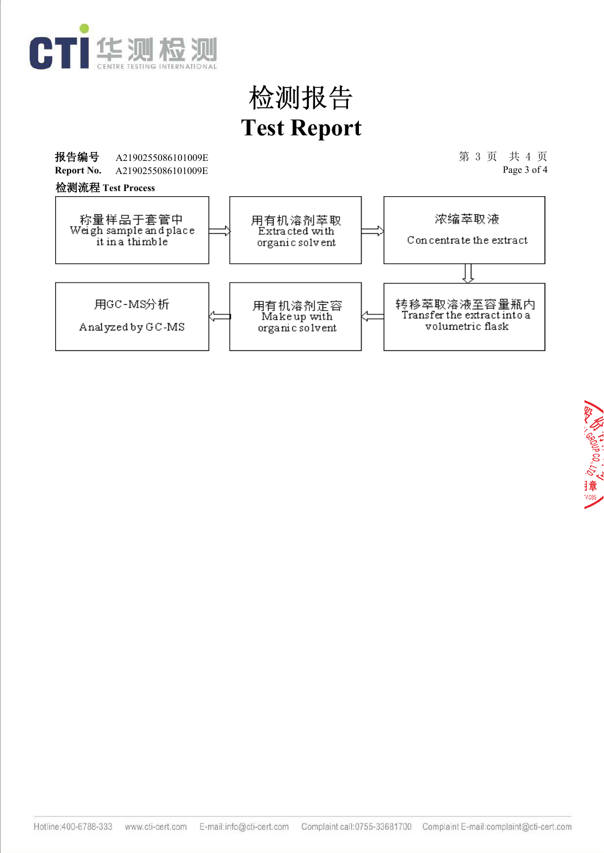

报告编号 A2190255086101009E 2010 2020 2021 2021 2022 2023 2024 第 3 页 共 4 页 A2190255086101009E Page 3 of 4 **Report No.** A2190255086101009E 检测流程 **Test Process**称量样品于套管中<br>Weigh sample and place 浓缩萃取液 用有机溶剂萃取<br>Extracted with Concentrate the extract it in a thimble organic solvent 用GC-MS分析 转移萃取溶液至容量瓶内<br>Transferthe extractinto a 用有机溶剂定容<br>Makeup with Analyzed by GC-MS volumetric flask organic solvent

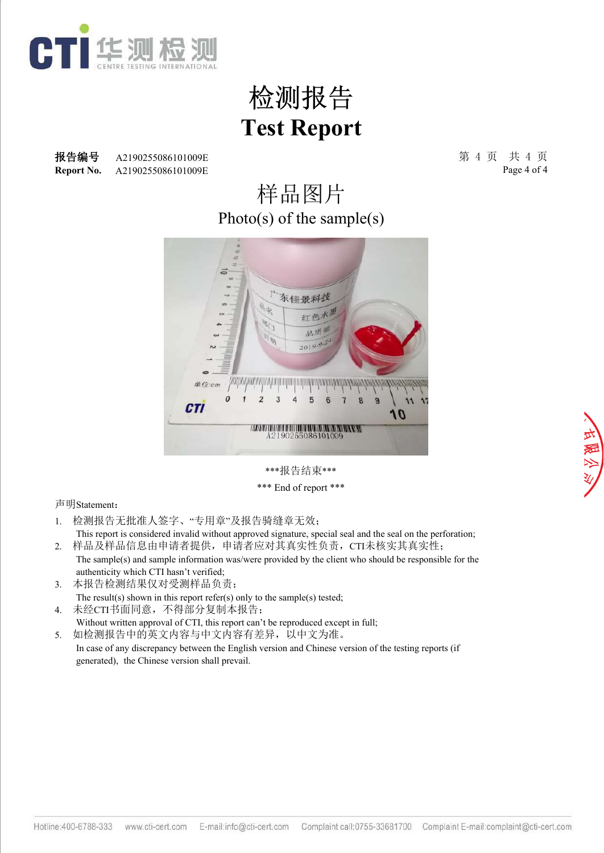

**Report No.** 报告编号 A2190255086101009E 2010 2020 2021 2021 2022 2023 第 4 页 共 4 页 A2190255086101009E A2190255086101009E

Page 4 of 4

### Photo(s) of the sample(s) 样品图片



\*\*\*报告结束\*\*\* \*\*\* End of report \*\*\*

- 1. 检测报告无批准人签字、"专用章"及报告骑缝章无效;
- This report is considered invalid without approved signature, special seal and the seal on the perforation; 2. 样品及样品信息由申请者提供,申请者应对其真实性负责,CTI未核实其真实性;
- The sample(s) and sample information was/were provided by the client who should be responsible for the authenticity which CTI hasn't verified;
- 3. 本报告检测结果仅对受测样品负责; The result(s) shown in this report refer(s) only to the sample(s) tested;
- 4. 未经CTI书面同意,不得部分复制本报告; Without written approval of CTI, this report can't be reproduced except in full;
- 5. 如检测报告中的英文内容与中文内容有差异,以中文为准。 In case of any discrepancy between the English version and Chinese version of the testing reports (if generated), the Chinese version shall prevail.

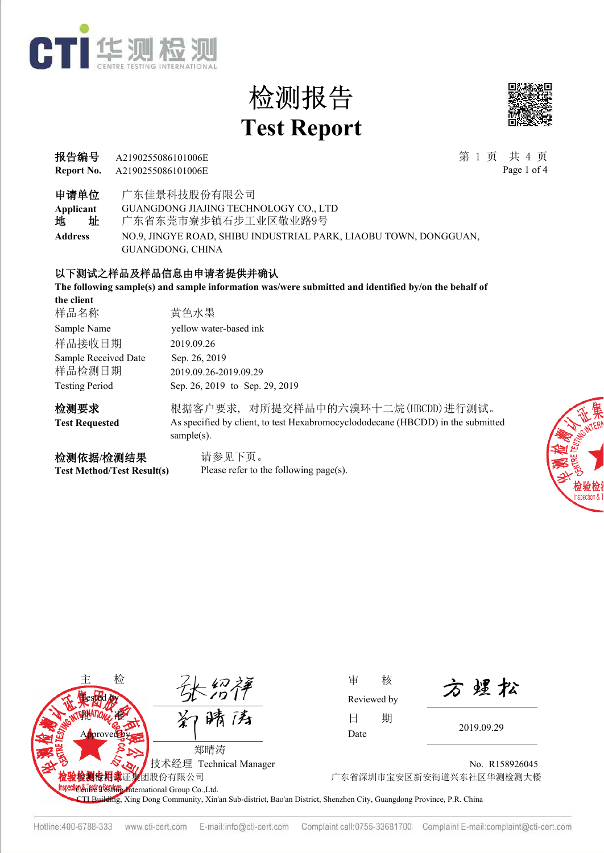



| 报告编号 A2190255086101006E              | 第1页 共4页     |
|--------------------------------------|-------------|
| <b>Report No.</b> A2190255086101006E | Page 1 of 4 |

Page 1 of 4

申请单位 广东佳景科技股份有限公司

**Applicant** GUANGDONG JIAJING TECHNOLOGY CO., LTD

地 址 广东省东莞市寮步镇石步工业区敬业路9号

**Address** NO.9, JINGYE ROAD, SHIBU INDUSTRIAL PARK, LIAOBU TOWN, DONGGUAN, GUANGDONG, CHINA

#### 以下测试之样品及样品信息由申请者提供并确认

**The following sample(s) and sample information was/were submitted and identified by/on the behalf of** 

| the client            |                                                                                                   |
|-----------------------|---------------------------------------------------------------------------------------------------|
| 样品名称                  | 黄色水墨                                                                                              |
| Sample Name           | yellow water-based ink                                                                            |
| 样品接收日期                | 2019.09.26                                                                                        |
| Sample Received Date  | Sep. 26, 2019                                                                                     |
| 样品检测日期                | 2019.09.26-2019.09.29                                                                             |
| <b>Testing Period</b> | Sep. 26, 2019 to Sep. 29, 2019                                                                    |
| 检测要求                  | 根据客户要求,对所提交样品中的六溴环十二烷(HBCDD)进行测试。                                                                 |
| <b>Test Requested</b> | As specified by client, to test Hexabromocyclododecane (HBCDD) in the submitted<br>sample $(s)$ . |
| 检测依据/检测结果             | 请参见下页。                                                                                            |

**Test Method/Test Result(s)**

请参见下页。 Please refer to the following page(s).





Reviewed by

方煜松

No. R158926045 团股份有限公司 广东省深圳市宝安区新安街道兴东社区华测检测大楼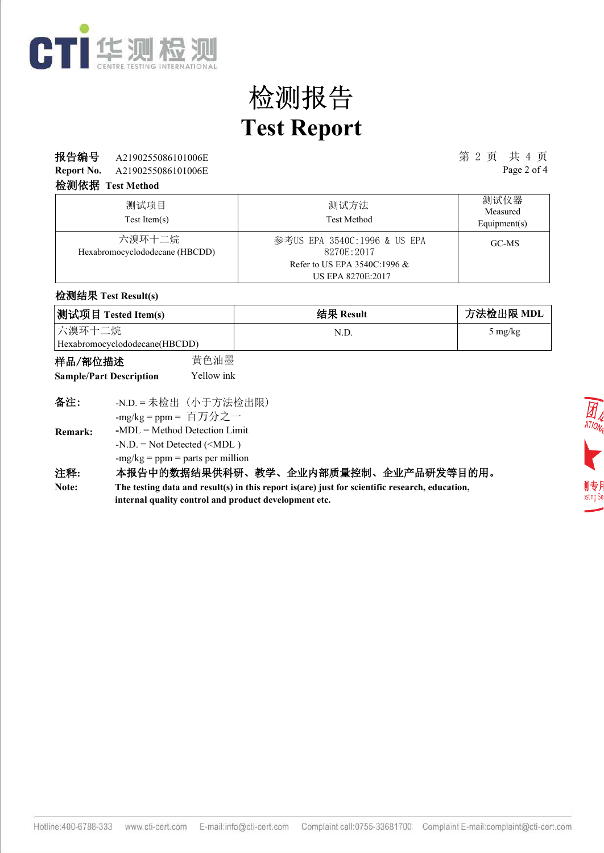

### 报告编号 第 2 页 共 4 页 A2190255086101006E

**Report No.** A2190255086101006E Page 2 of 4

#### 检测依据 **Test Method**

| 测试项目<br>$Test$ Item $(s)$                | 测试方法<br><b>Test Method</b>                                                    | 测试仪器<br>Measured<br>Equipment( $s$ ) |
|------------------------------------------|-------------------------------------------------------------------------------|--------------------------------------|
| 六溴环十二烷<br>Hexabromocyclododecane (HBCDD) | 参考US EPA 3540C:1996 & US EPA<br>8270E:2017<br>Refer to US EPA 3540C:1996 $\&$ | GC-MS                                |
|                                          | <b>US EPA 8270E:2017</b>                                                      |                                      |

#### 检测结果 **Test Result(s)**

| 测试项目 Tested Item(s)           | 结果 Result | 方法检出限 MDL         |
|-------------------------------|-----------|-------------------|
| 六溴环十二烷                        | N.D       | $5 \text{ mg/kg}$ |
| Hexabromocyclododecane(HBCDD) |           |                   |

| 样品/部位描述                        | 黄色油墨       |
|--------------------------------|------------|
| <b>Sample/Part Description</b> | Yellow ink |

| 备注:                  | -N.D. = 未检出 (小于方法检出限)              |     |
|----------------------|------------------------------------|-----|
|                      | -mg/kg = ppm = 百万分之一               |     |
| <b>Remark:</b>       | $-MDL = Method$ Detection Limit    |     |
|                      | $-N.D. = Not detected ($           |     |
|                      | $-mg/kg = ppm = parts per million$ |     |
| $\sim$ $\sim$ $\sim$ |                                    | . . |

#### 注释**:** 本报告中的数据结果供科研、教学、企业内部质量控制、企业产品研发等目的用。

**The testing data and result(s) in this report is(are) just for scientific research, education, internal quality control and product development etc. Note:**

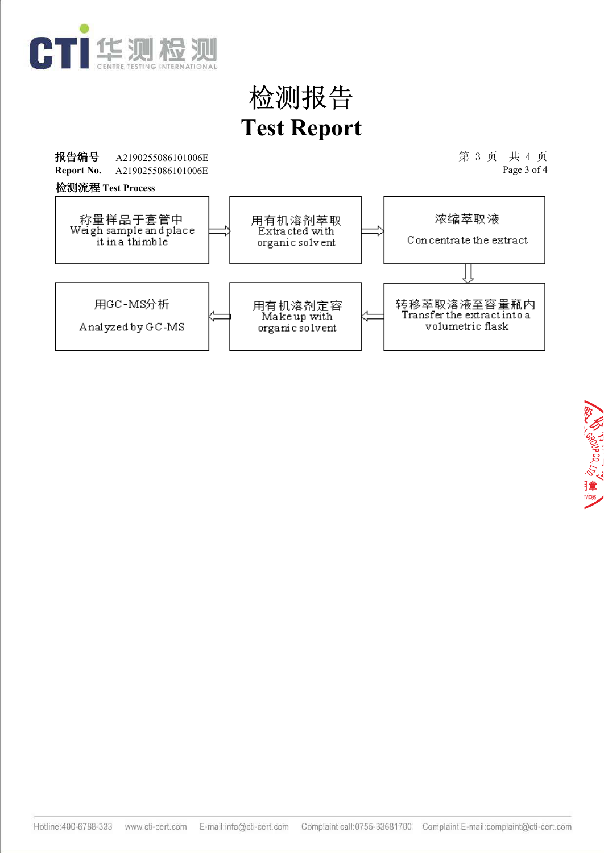

报告编号 A2190255086101006E 2010 2020 2021 2021 2022 2022 2023 第 3 页 共 4 页 A2190255086101006E Page 3 of 4 **Report No.** A2190255086101006E 检测流程 **Test Process**称量样品于套管中<br>Weigh sample and place 浓缩萃取液 用有机溶剂萃取<br>Extracted with Concentrate the extract it in a thimble organic solvent 用GC-MS分析 转移萃取溶液至容量瓶内<br>Transferthe extractinto a 用有机溶剂定容<br>Makeup with Analyzed by GC-MS volumetric flask organic solvent